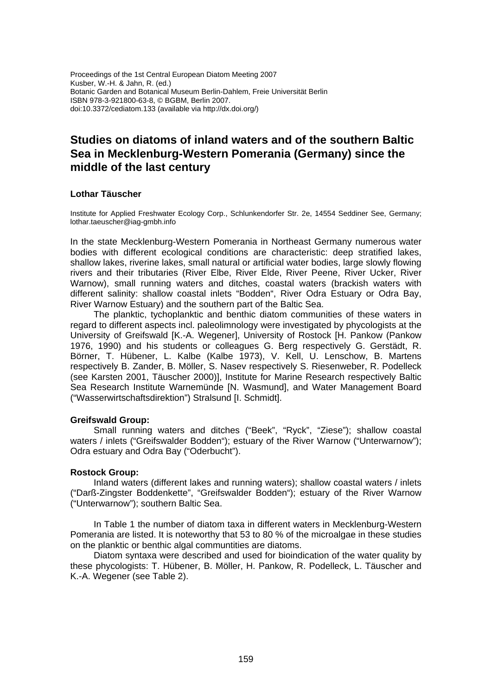Proceedings of the 1st Central European Diatom Meeting 2007 Kusber, W.-H. & Jahn, R. (ed.) Botanic Garden and Botanical Museum Berlin-Dahlem, Freie Universität Berlin ISBN 978-3-921800-63-8, © BGBM, Berlin 2007. doi:10.3372/cediatom.133 (available via http://dx.doi.org/)

# **Studies on diatoms of inland waters and of the southern Baltic Sea in Mecklenburg-Western Pomerania (Germany) since the middle of the last century**

### **Lothar Täuscher**

Institute for Applied Freshwater Ecology Corp., Schlunkendorfer Str. 2e, 14554 Seddiner See, Germany; lothar.taeuscher@iag-gmbh.info

In the state Mecklenburg-Western Pomerania in Northeast Germany numerous water bodies with different ecological conditions are characteristic: deep stratified lakes, shallow lakes, riverine lakes, small natural or artificial water bodies, large slowly flowing rivers and their tributaries (River Elbe, River Elde, River Peene, River Ucker, River Warnow), small running waters and ditches, coastal waters (brackish waters with different salinity: shallow coastal inlets "Bodden", River Odra Estuary or Odra Bay, River Warnow Estuary) and the southern part of the Baltic Sea.

The planktic, tychoplanktic and benthic diatom communities of these waters in regard to different aspects incl. paleolimnology were investigated by phycologists at the University of Greifswald [K.-A. Wegener], University of Rostock [H. Pankow (Pankow 1976, 1990) and his students or colleagues G. Berg respectively G. Gerstädt, R. Börner, T. Hübener, L. Kalbe (Kalbe 1973), V. Kell, U. Lenschow, B. Martens respectively B. Zander, B. Möller, S. Nasev respectively S. Riesenweber, R. Podelleck (see Karsten 2001, Täuscher 2000)], Institute for Marine Research respectively Baltic Sea Research Institute Warnemünde [N. Wasmund], and Water Management Board ("Wasserwirtschaftsdirektion") Stralsund [I. Schmidt].

#### **Greifswald Group:**

Small running waters and ditches ("Beek", "Ryck", "Ziese"); shallow coastal waters / inlets ("Greifswalder Bodden"); estuary of the River Warnow ("Unterwarnow"); Odra estuary and Odra Bay ("Oderbucht").

#### **Rostock Group:**

Inland waters (different lakes and running waters); shallow coastal waters / inlets ("Darß-Zingster Boddenkette", "Greifswalder Bodden"); estuary of the River Warnow ("Unterwarnow"); southern Baltic Sea.

In Table 1 the number of diatom taxa in different waters in Mecklenburg-Western Pomerania are listed. It is noteworthy that 53 to 80 % of the microalgae in these studies on the planktic or benthic algal communtities are diatoms.

Diatom syntaxa were described and used for bioindication of the water quality by these phycologists: T. Hübener, B. Möller, H. Pankow, R. Podelleck, L. Täuscher and K.-A. Wegener (see Table 2).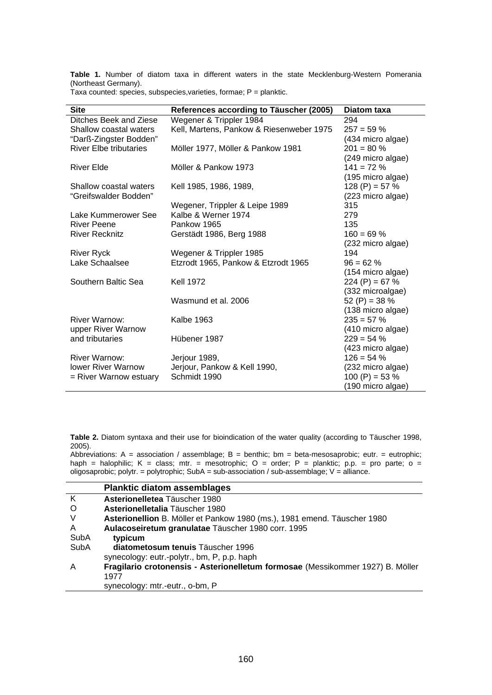**Table 1.** Number of diatom taxa in different waters in the state Mecklenburg-Western Pomerania (Northeast Germany).

Taxa counted: species, subspecies, varieties, formae;  $P =$  planktic.

| <b>Site</b>                   | References according to Täuscher (2005)  | Diatom taxa                        |
|-------------------------------|------------------------------------------|------------------------------------|
| Ditches Beek and Ziese        | Wegener & Trippler 1984                  | 294                                |
| Shallow coastal waters        | Kell, Martens, Pankow & Riesenweber 1975 | $257 = 59 \%$                      |
| "Darß-Zingster Bodden"        |                                          | (434 micro algae)                  |
| <b>River Elbe tributaries</b> | Möller 1977, Möller & Pankow 1981        | $201 = 80 \%$                      |
|                               |                                          | (249 micro algae)                  |
| <b>River Elde</b>             | Möller & Pankow 1973                     | $141 = 72 \%$                      |
|                               |                                          | (195 micro algae)                  |
| Shallow coastal waters        | Kell 1985, 1986, 1989,                   | 128 (P) = 57 %                     |
| "Greifswalder Bodden"         |                                          | (223 micro algae)                  |
|                               | Wegener, Trippler & Leipe 1989           | 315                                |
| Lake Kummerower See           | Kalbe & Werner 1974                      | 279                                |
| <b>River Peene</b>            | Pankow 1965                              | 135                                |
| <b>River Recknitz</b>         | Gerstädt 1986, Berg 1988                 | $160 = 69 \%$                      |
|                               |                                          | (232 micro algae)                  |
| <b>River Ryck</b>             | Wegener & Trippler 1985                  | 194                                |
| Lake Schaalsee                | Etzrodt 1965, Pankow & Etzrodt 1965      | $96 = 62 \%$                       |
|                               |                                          | (154 micro algae)                  |
| Southern Baltic Sea           | <b>Kell 1972</b>                         | 224 (P) = 67 %                     |
|                               |                                          | (332 microalgae)                   |
|                               | Wasmund et al. 2006                      | 52 (P) = 38 %                      |
|                               |                                          | (138 micro algae)                  |
| River Warnow:                 | <b>Kalbe 1963</b>                        | $235 = 57 \%$                      |
| upper River Warnow            |                                          | (410 micro algae)                  |
| and tributaries               | Hübener 1987                             | $229 = 54%$                        |
|                               |                                          |                                    |
| <b>River Warnow:</b>          |                                          | (423 micro algae)<br>$126 = 54 \%$ |
|                               | Jerjour 1989,                            |                                    |
| <b>lower River Warnow</b>     | Jerjour, Pankow & Kell 1990,             | (232 micro algae)                  |
| = River Warnow estuary        | Schmidt 1990                             | 100 (P) = 53 $%$                   |
|                               |                                          | (190 micro algae)                  |

**Table 2.** Diatom syntaxa and their use for bioindication of the water quality (according to Täuscher 1998, 2005).

Abbreviations: A = association / assemblage; B = benthic; bm = beta-mesosaprobic; eutr. = eutrophic; haph = halophilic; K = class; mtr. = mesotrophic; O = order; P = planktic; p.p. = pro parte; o = oligosaprobic; polytr. = polytrophic; SubA = sub-association / sub-assemblage; V = alliance.

|         | <b>Planktic diatom assemblages</b>                                             |
|---------|--------------------------------------------------------------------------------|
| K       | Asterionelletea Täuscher 1980                                                  |
| $\circ$ | Asterionelletalia Täuscher 1980                                                |
| V       | Asterionellion B. Möller et Pankow 1980 (ms.), 1981 emend. Täuscher 1980       |
| A       | Aulacoseiretum granulatae Täuscher 1980 corr. 1995                             |
| SubA    | typicum                                                                        |
| SubA    | diatometosum tenuis Täuscher 1996                                              |
|         | synecology: eutr.-polytr., bm, P, p.p. haph                                    |
| A       | Fragilario crotonensis - Asterionelletum formosae (Messikommer 1927) B. Möller |
|         | 1977                                                                           |
|         | synecology: mtr.-eutr., o-bm, P                                                |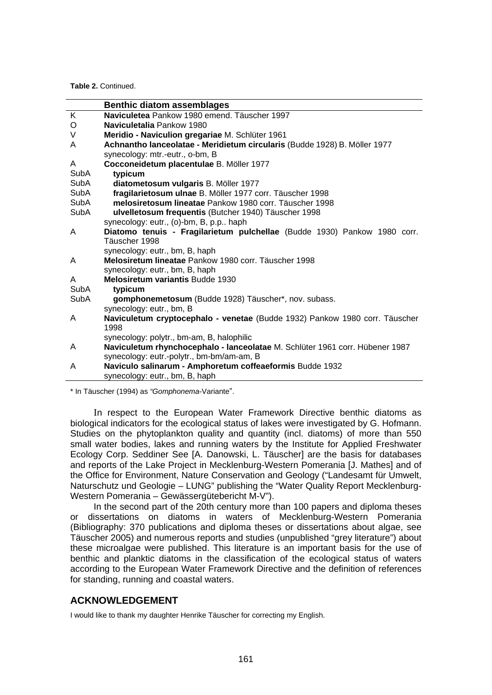**Table 2.** Continued.

|             | <b>Benthic diatom assemblages</b>                                            |
|-------------|------------------------------------------------------------------------------|
| K           | Naviculetea Pankow 1980 emend. Täuscher 1997                                 |
| O           | Naviculetalia Pankow 1980                                                    |
| V           | Meridio - Naviculion gregariae M. Schlüter 1961                              |
| A           | Achnantho lanceolatae - Meridietum circularis (Budde 1928) B. Möller 1977    |
|             | synecology: mtr.-eutr., o-bm, B                                              |
| A           | Cocconeidetum placentulae B. Möller 1977                                     |
| SubA        | typicum                                                                      |
| SubA        | diatometosum vulgaris B. Möller 1977                                         |
| SubA        | fragilarietosum ulnae B. Möller 1977 corr. Täuscher 1998                     |
| SubA        | melosiretosum lineatae Pankow 1980 corr. Täuscher 1998                       |
| SubA        | ulvelletosum frequentis (Butcher 1940) Täuscher 1998                         |
|             | synecology: eutr., (o)-bm, B, p.p., haph                                     |
| A           | Diatomo tenuis - Fragilarietum pulchellae (Budde 1930) Pankow 1980 corr.     |
|             | Täuscher 1998                                                                |
|             | synecology: eutr., bm, B, haph                                               |
| A           | Melosiretum lineatae Pankow 1980 corr. Täuscher 1998                         |
|             | synecology: eutr., bm, B, haph                                               |
| A           | Melosiretum variantis Budde 1930                                             |
| <b>SubA</b> | typicum                                                                      |
| <b>SubA</b> | gomphonemetosum (Budde 1928) Täuscher*, nov. subass.                         |
|             | synecology: eutr., bm, B                                                     |
| A           | Naviculetum cryptocephalo - venetae (Budde 1932) Pankow 1980 corr. Täuscher  |
|             | 1998                                                                         |
|             | synecology: polytr., bm-am, B, halophilic                                    |
| A           | Naviculetum rhynchocephalo - lanceolatae M. Schlüter 1961 corr. Hübener 1987 |
|             | synecology: eutr.-polytr., bm-bm/am-am, B                                    |
| A           | Naviculo salinarum - Amphoretum coffeaeformis Budde 1932                     |
|             | synecology: eutr., bm, B, haph                                               |

\* In Täuscher (1994) as *"Gomphonema*-Variante".

In respect to the European Water Framework Directive benthic diatoms as biological indicators for the ecological status of lakes were investigated by G. Hofmann. Studies on the phytoplankton quality and quantity (incl. diatoms) of more than 550 small water bodies, lakes and running waters by the Institute for Applied Freshwater Ecology Corp. Seddiner See [A. Danowski, L. Täuscher] are the basis for databases and reports of the Lake Project in Mecklenburg-Western Pomerania [J. Mathes] and of the Office for Environment, Nature Conservation and Geology ("Landesamt für Umwelt, Naturschutz und Geologie – LUNG" publishing the "Water Quality Report Mecklenburg-Western Pomerania – Gewässergütebericht M-V").

In the second part of the 20th century more than 100 papers and diploma theses or dissertations on diatoms in waters of Mecklenburg-Western Pomerania (Bibliography: 370 publications and diploma theses or dissertations about algae, see Täuscher 2005) and numerous reports and studies (unpublished "grey literature") about these microalgae were published. This literature is an important basis for the use of benthic and planktic diatoms in the classification of the ecological status of waters according to the European Water Framework Directive and the definition of references for standing, running and coastal waters.

## **ACKNOWLEDGEMENT**

I would like to thank my daughter Henrike Täuscher for correcting my English.